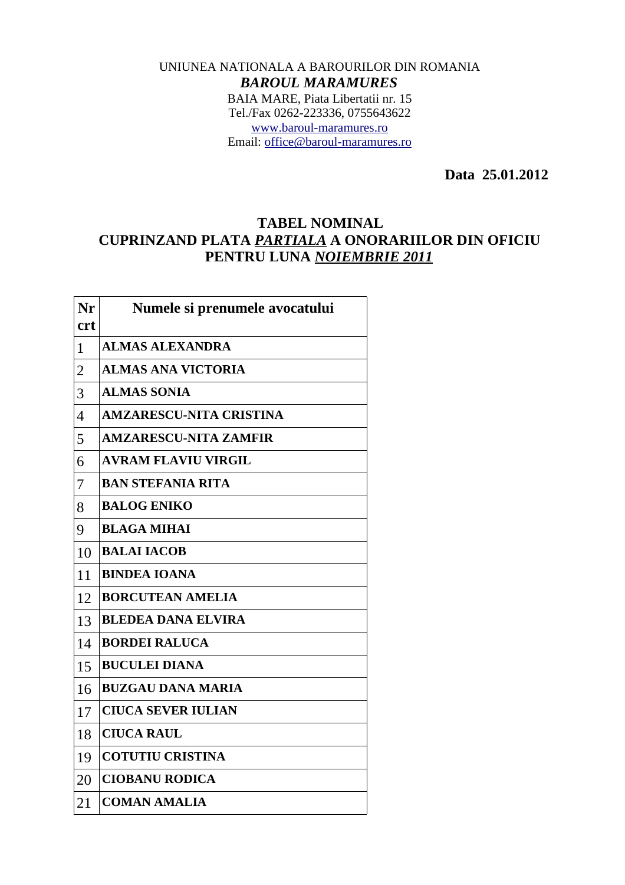## UNIUNEA NATIONALA A BAROURILOR DIN ROMANIA *BAROUL MARAMURES* BAIA MARE, Piata Libertatii nr. 15 Tel./Fax 0262-223336, 0755643622 [www.baroul-maramures.ro](http://www.baroul-maramures.ro/) Email: [office@baroul-maramures.ro](mailto:office@baroul-maramures.ro)

 **Data 25.01.2012**

## **TABEL NOMINAL CUPRINZAND PLATA** *PARTIALA* **A ONORARIILOR DIN OFICIU PENTRU LUNA** *NOIEMBRIE 2011*

| Nr             | Numele si prenumele avocatului |
|----------------|--------------------------------|
| <b>crt</b>     |                                |
| $\mathbf{1}$   | <b>ALMAS ALEXANDRA</b>         |
| $\overline{2}$ | <b>ALMAS ANA VICTORIA</b>      |
| 3              | <b>ALMAS SONIA</b>             |
| $\overline{4}$ | <b>AMZARESCU-NITA CRISTINA</b> |
| 5              | <b>AMZARESCU-NITA ZAMFIR</b>   |
| 6              | <b>AVRAM FLAVIU VIRGIL</b>     |
| 7              | <b>BAN STEFANIA RITA</b>       |
| 8              | <b>BALOG ENIKO</b>             |
| 9              | <b>BLAGA MIHAI</b>             |
| 10             | <b>BALAI IACOB</b>             |
| 11             | <b>BINDEA IOANA</b>            |
| 12             | <b>BORCUTEAN AMELIA</b>        |
| 13             | <b>BLEDEA DANA ELVIRA</b>      |
| 14             | <b>BORDEI RALUCA</b>           |
| 15             | <b>BUCULEI DIANA</b>           |
| 16             | <b>BUZGAU DANA MARIA</b>       |
| 17             | <b>CIUCA SEVER IULIAN</b>      |
| 18             | <b>CIUCA RAUL</b>              |
| 19             | <b>COTUTIU CRISTINA</b>        |
| 20             | <b>CIOBANU RODICA</b>          |
| 21             | <b>COMAN AMALIA</b>            |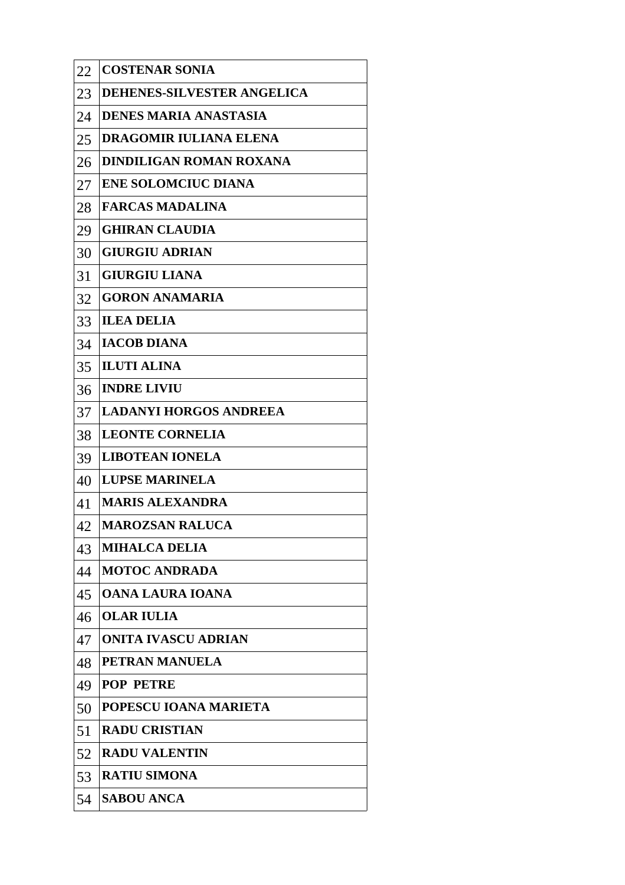| 22 | <b>COSTENAR SONIA</b>             |
|----|-----------------------------------|
| 23 | <b>DEHENES-SILVESTER ANGELICA</b> |
| 24 | <b>DENES MARIA ANASTASIA</b>      |
| 25 | <b>DRAGOMIR IULIANA ELENA</b>     |
| 26 | <b>DINDILIGAN ROMAN ROXANA</b>    |
| 27 | <b>ENE SOLOMCIUC DIANA</b>        |
| 28 | <b>FARCAS MADALINA</b>            |
| 29 | <b>GHIRAN CLAUDIA</b>             |
| 30 | <b>GIURGIU ADRIAN</b>             |
| 31 | <b>GIURGIU LIANA</b>              |
| 32 | <b>GORON ANAMARIA</b>             |
| 33 | <b>ILEA DELIA</b>                 |
| 34 | <b>IACOB DIANA</b>                |
| 35 | <b>ILUTI ALINA</b>                |
| 36 | <b>INDRE LIVIU</b>                |
| 37 | <b>LADANYI HORGOS ANDREEA</b>     |
| 38 | <b>LEONTE CORNELIA</b>            |
| 39 | <b>LIBOTEAN IONELA</b>            |
| 40 | <b>LUPSE MARINELA</b>             |
| 41 | <b>MARIS ALEXANDRA</b>            |
| 42 | <b>MAROZSAN RALUCA</b>            |
| 43 | <b>MIHALCA DELIA</b>              |
| 44 | <b>MOTOC ANDRADA</b>              |
| 45 | <b>OANA LAURA IOANA</b>           |
| 46 | <b>OLAR IULIA</b>                 |
| 47 | <b>ONITA IVASCU ADRIAN</b>        |
| 48 | PETRAN MANUELA                    |
| 49 | <b>POP PETRE</b>                  |
| 50 | POPESCU IOANA MARIETA             |
| 51 | <b>RADU CRISTIAN</b>              |
| 52 | <b>RADU VALENTIN</b>              |
| 53 | <b>RATIU SIMONA</b>               |
| 54 | <b>SABOU ANCA</b>                 |